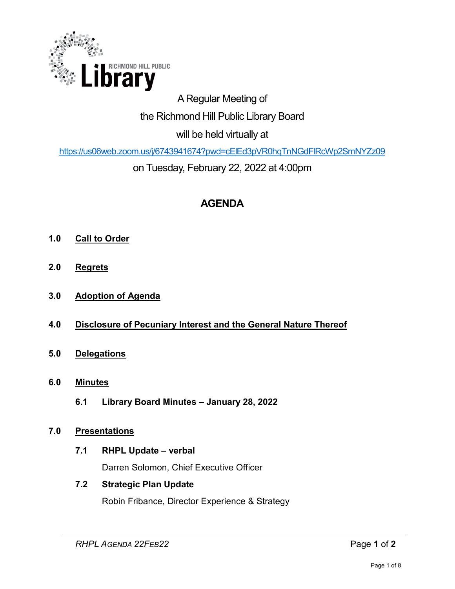

# A Regular Meeting of the Richmond Hill Public Library Board

will be held virtually at

<https://us06web.zoom.us/j/6743941674?pwd=cElEd3pVR0hqTnNGdFlRcWp2SmNYZz09>

on Tuesday, February 22, 2022 at 4:00pm

# **AGENDA**

- **1.0 Call to Order**
- **2.0 Regrets**
- **3.0 Adoption of Agenda**
- **4.0 Disclosure of Pecuniary Interest and the General Nature Thereof**
- **5.0 Delegations**
- **6.0 Minutes** 
	- **6.1 Library Board Minutes January 28, 2022**

# **7.0 Presentations**

**7.1 RHPL Update – verbal** 

Darren Solomon, Chief Executive Officer

# **7.2 Strategic Plan Update**

Robin Fribance, Director Experience & Strategy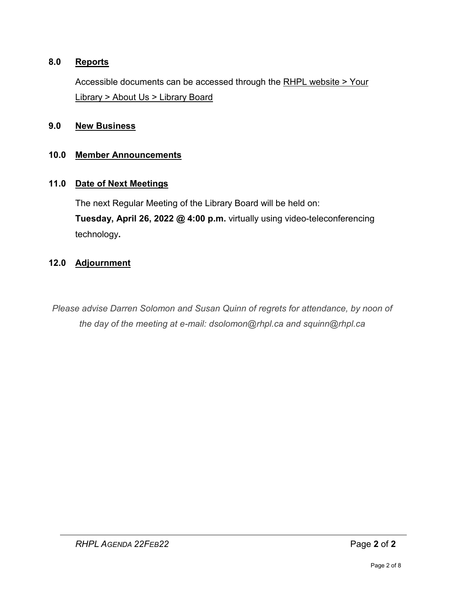#### **8.0 Reports**

Accessible documents can be accessed through the [RHPL website > Your](https://www.rhpl.ca/your-library/about-us/library-board)  Library [> About Us > Library Board](https://www.rhpl.ca/your-library/about-us/library-board)

#### **9.0 New Business**

#### **10.0 Member Announcements**

#### **11.0 Date of Next Meetings**

The next Regular Meeting of the Library Board will be held on: **Tuesday, April 26, 2022 @ 4:00 p.m.** virtually using video-teleconferencing technology**.** 

#### **12.0 Adjournment**

*Please advise Darren Solomon and Susan Quinn of regrets for attendance, by noon of the day of the meeting at e-mail: dsolomon@rhpl.ca and squinn@rhpl.ca*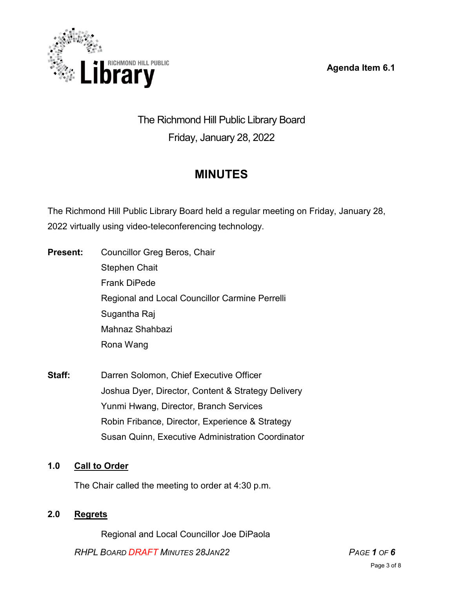**Agenda Item 6.1** 



# The Richmond Hill Public Library Board Friday, January 28, 2022

# **MINUTES**

The Richmond Hill Public Library Board held a regular meeting on Friday, January 28, 2022 virtually using video-teleconferencing technology.

- **Present:** Councillor Greg Beros, Chair Stephen Chait Frank DiPede Regional and Local Councillor Carmine Perrelli Sugantha Raj Mahnaz Shahbazi Rona Wang
- **Staff:** Darren Solomon, Chief Executive Officer Joshua Dyer, Director, Content & Strategy Delivery Yunmi Hwang, Director, Branch Services Robin Fribance, Director, Experience & Strategy Susan Quinn, Executive Administration Coordinator

# **1.0 Call to Order**

The Chair called the meeting to order at 4:30 p.m.

# **2.0 Regrets**

Regional and Local Councillor Joe DiPaola

*RHPL BOARD DRAFT MINUTES 28JAN22 PAGE 1 OF 6*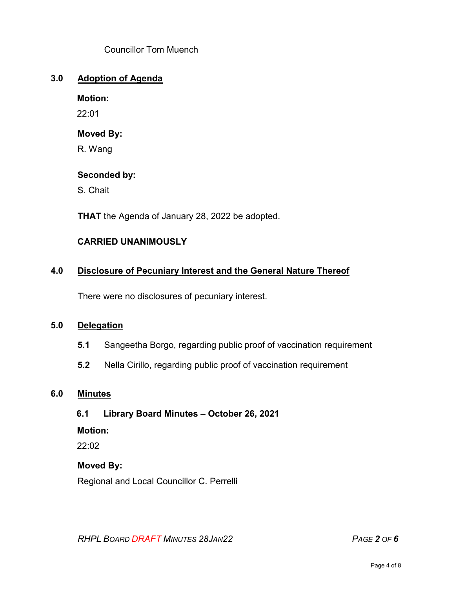Councillor Tom Muench

#### **3.0 Adoption of Agenda**

#### **Motion:**

22:01

#### **Moved By:**

R. Wang

#### **Seconded by:**

S. Chait

**THAT** the Agenda of January 28, 2022 be adopted.

#### **CARRIED UNANIMOUSLY**

#### **4.0 Disclosure of Pecuniary Interest and the General Nature Thereof**

There were no disclosures of pecuniary interest.

#### **5.0 Delegation**

- **5.1** Sangeetha Borgo, regarding public proof of vaccination requirement
- **5.2** Nella Cirillo, regarding public proof of vaccination requirement

#### **6.0 Minutes**

#### **6.1 Library Board Minutes – October 26, 2021**

#### **Motion:**

22:02

#### **Moved By:**

Regional and Local Councillor C. Perrelli

*RHPL BOARD DRAFT MINUTES 28JAN22 PAGE 2 OF 6*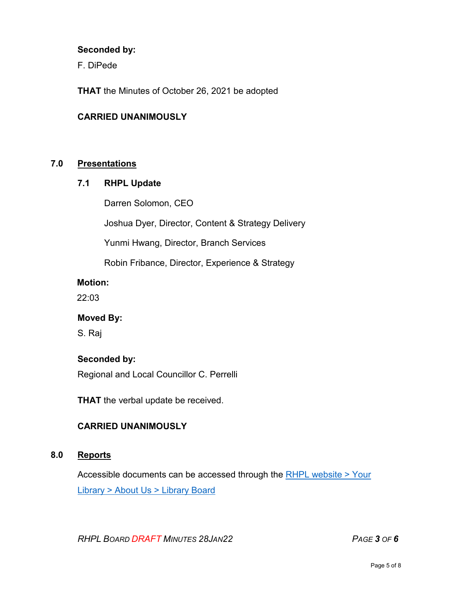#### **Seconded by:**

F. DiPede

**THAT** the Minutes of October 26, 2021 be adopted

#### **CARRIED UNANIMOUSLY**

#### **7.0 Presentations**

#### **7.1 RHPL Update**

Darren Solomon, CEO

Joshua Dyer, Director, Content & Strategy Delivery

Yunmi Hwang, Director, Branch Services

Robin Fribance, Director, Experience & Strategy

#### **Motion:**

22:03

#### **Moved By:**

S. Raj

#### **Seconded by:**

Regional and Local Councillor C. Perrelli

**THAT** the verbal update be received.

#### **CARRIED UNANIMOUSLY**

#### **8.0 Reports**

Accessible documents can be accessed through the [RHPL website > Your](https://www.rhpl.ca/your-library/about-us/library-board)  Library [> About Us > Library](https://www.rhpl.ca/your-library/about-us/library-board) Board

*RHPL BOARD DRAFT MINUTES 28JAN22 PAGE 3 OF 6*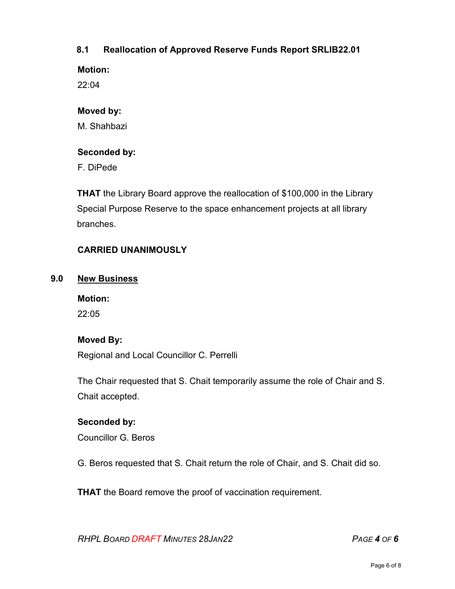### **8.1 Reallocation of Approved Reserve Funds Report SRLIB22.01**

**Motion:** 

22:04

### **Moved by:**

M. Shahbazi

# **Seconded by:**

F. DiPede

**THAT** the Library Board approve the reallocation of \$100,000 in the Library Special Purpose Reserve to the space enhancement projects at all library branches.

# **CARRIED UNANIMOUSLY**

#### **9.0 New Business**

#### **Motion:**

22:05

#### **Moved By:**

Regional and Local Councillor C. Perrelli

The Chair requested that S. Chait temporarily assume the role of Chair and S. Chait accepted.

# **Seconded by:**

Councillor G. Beros

G. Beros requested that S. Chait return the role of Chair, and S. Chait did so.

**THAT** the Board remove the proof of vaccination requirement.

*RHPL BOARD DRAFT MINUTES 28JAN22 PAGE 4 OF 6*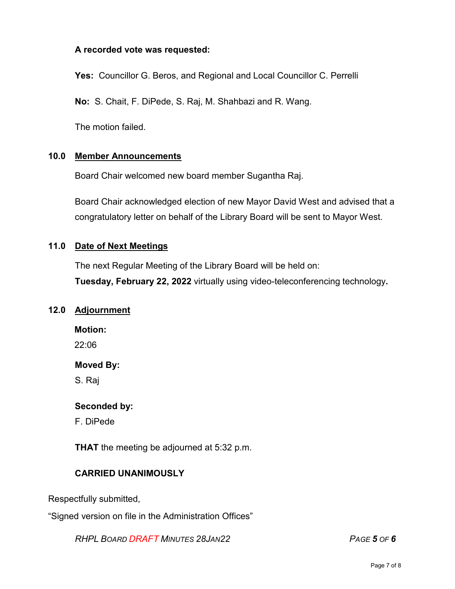#### **A recorded vote was requested:**

**Yes:** Councillor G. Beros, and Regional and Local Councillor C. Perrelli

**No:** S. Chait, F. DiPede, S. Raj, M. Shahbazi and R. Wang.

The motion failed.

#### **10.0 Member Announcements**

Board Chair welcomed new board member Sugantha Raj.

Board Chair acknowledged election of new Mayor David West and advised that a congratulatory letter on behalf of the Library Board will be sent to Mayor West.

#### **11.0 Date of Next Meetings**

The next Regular Meeting of the Library Board will be held on: **Tuesday, February 22, 2022** virtually using video-teleconferencing technology**.** 

#### **12.0 Adjournment**

**Motion:** 

22:06

#### **Moved By:**

S. Raj

#### **Seconded by:**

F. DiPede

**THAT** the meeting be adjourned at 5:32 p.m.

#### **CARRIED UNANIMOUSLY**

Respectfully submitted,

"Signed version on file in the Administration Offices"

*RHPL BOARD DRAFT MINUTES 28JAN22 PAGE 5 OF 6*